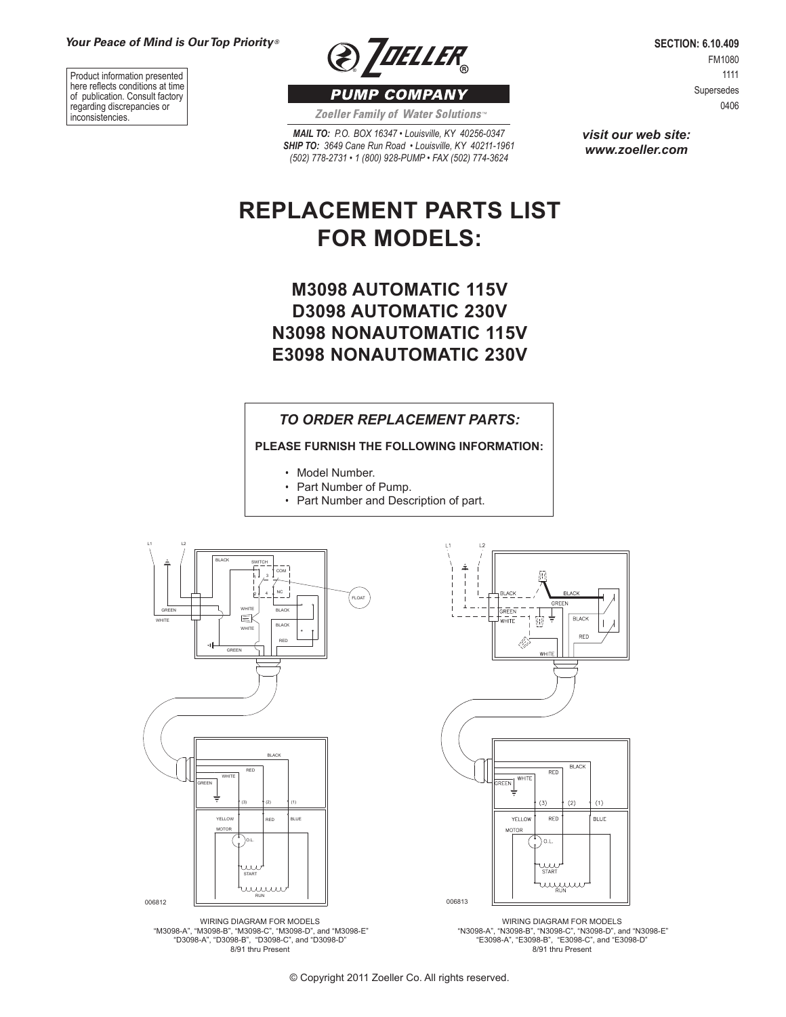#### **Your Peace of Mind is Our Top Priority®**

Product information presented here reflects conditions at time of publication. Consult factory regarding discrepancies or inconsistencies.

**@ JOELLER PUMP COMPANY** 

Zoeller Family of Water Solutions<sup>®</sup>

*MAIL TO: P.O. BOX 16347 • Louisville, KY 40256-0347 SHIP TO: 3649 Cane Run Road • Louisville, KY 40211-1961 (502) 778-2731 • 1 (800) 928-PUMP • FAX (502) 774-3624*

**SECTION: 6.10.409** FM1080 1111 Supersedes 0406

*visit our web site: www.zoeller.com*

# **REPLACEMENT PARTS LIST FOR MODELS:**

**M3098 AUTOMATIC 115V D3098 AUTOMATIC 230V N3098 NONAUTOMATIC 115V E3098 NONAUTOMATIC 230V**

## *TO ORDER REPLACEMENT PARTS:*

### **PLEASE FURNISH THE FOLLOWING INFORMATION:**

- Model Number.
- Part Number of Pump.
- Part Number and Description of part.





 "M3098-A", "M3098-B", "M3098-C", "M3098-D", and "M3098-E" "D3098-A", "D3098-B", "D3098-C", and "D3098-D" 8/91 thru Present

WIRING DIAGRAM FOR MODELS "N3098-A", "N3098-B", "N3098-C", "N3098-D", and "N3098-E" "E3098-A", "E3098-B", "E3098-C", and "E3098-D" 8/91 thru Present

© Copyright 2011 Zoeller Co. All rights reserved.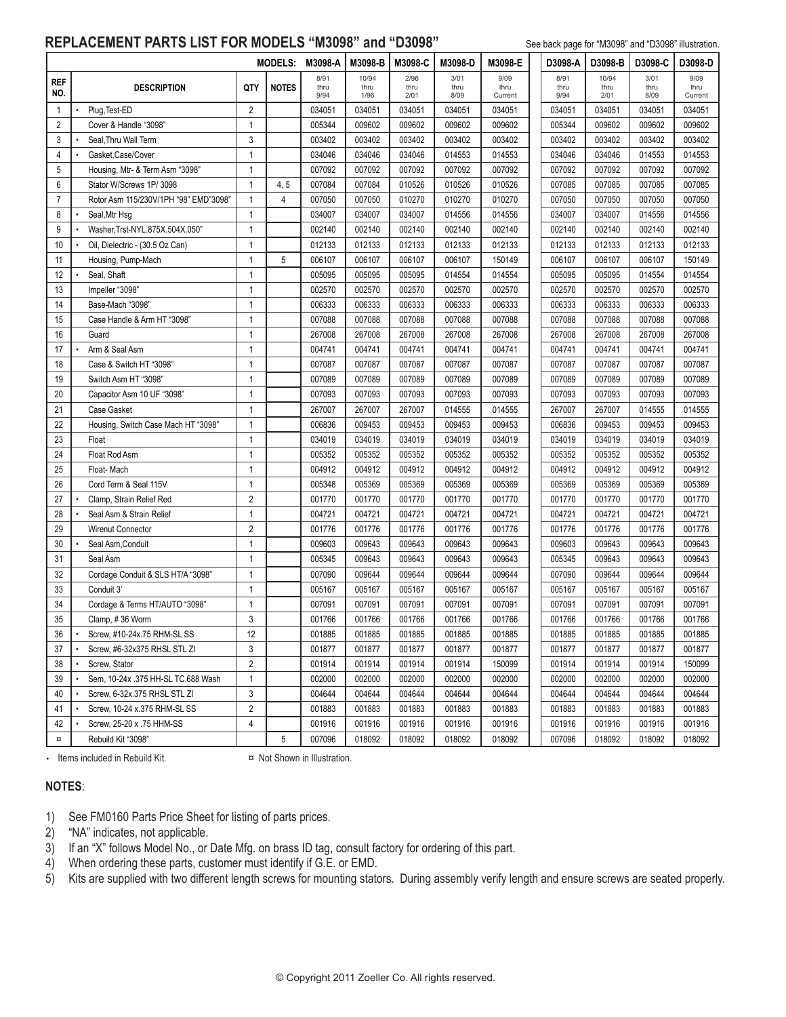## REPLACEMENT PARTS LIST FOR MODELS "M3098" and "D3098" See back page for "M3098" and "D3098" illustration.

|                         |                                       | MODELS: M3098-A |              |                      | M3098-B               | M3098-C              | M3098-D              | M3098-E                 | D3098-A              | D3098-B               | D3098-C              | D3098-D                 |
|-------------------------|---------------------------------------|-----------------|--------------|----------------------|-----------------------|----------------------|----------------------|-------------------------|----------------------|-----------------------|----------------------|-------------------------|
| <b>REF</b><br>NO.       | <b>DESCRIPTION</b>                    | QTY             | <b>NOTES</b> | 8/91<br>thru<br>9/94 | 10/94<br>thru<br>1/96 | 2/96<br>thru<br>2/01 | 3/01<br>thru<br>8/09 | 9/09<br>thru<br>Current | 8/91<br>thru<br>9/94 | 10/94<br>thru<br>2/01 | 3/01<br>thru<br>8/09 | 9/09<br>thru<br>Current |
| 1                       | Plug, Test-ED                         | $\overline{2}$  |              | 034051               | 034051                | 034051               | 034051               | 034051                  | 034051               | 034051                | 034051               | 034051                  |
| $\overline{2}$          | Cover & Handle "3098"                 | $\mathbf{1}$    |              | 005344               | 009602                | 009602               | 009602               | 009602                  | 005344               | 009602                | 009602               | 009602                  |
| 3                       | Seal, Thru Wall Term                  | 3               |              | 003402               | 003402                | 003402               | 003402               | 003402                  | 003402               | 003402                | 003402               | 003402                  |
| 4                       | Gasket, Case/Cover                    | $\mathbf{1}$    |              | 034046               | 034046                | 034046               | 014553               | 014553                  | 034046               | 034046                | 014553               | 014553                  |
| 5                       | Housing, Mtr- & Term Asm "3098"       | $\mathbf{1}$    |              | 007092               | 007092                | 007092               | 007092               | 007092                  | 007092               | 007092                | 007092               | 007092                  |
| 6                       | Stator W/Screws 1P/ 3098              | $\mathbf{1}$    | 4, 5         | 007084               | 007084                | 010526               | 010526               | 010526                  | 007085               | 007085                | 007085               | 007085                  |
| $\overline{7}$          | Rotor Asm 115/230V/1PH "98" EMD"3098" | $\mathbf{1}$    | 4            | 007050               | 007050                | 010270               | 010270               | 010270                  | 007050               | 007050                | 007050               | 007050                  |
| 8                       | Seal, Mtr Hsg                         | $\mathbf{1}$    |              | 034007               | 034007                | 034007               | 014556               | 014556                  | 034007               | 034007                | 014556               | 014556                  |
| 9                       | Washer, Trst-NYL.875X.504X.050"       | $\mathbf{1}$    |              | 002140               | 002140                | 002140               | 002140               | 002140                  | 002140               | 002140                | 002140               | 002140                  |
| 10                      | Oil, Dielectric - (30.5 Oz Can)       | $\mathbf{1}$    |              | 012133               | 012133                | 012133               | 012133               | 012133                  | 012133               | 012133                | 012133               | 012133                  |
| 11                      | Housing, Pump-Mach                    | $\mathbf{1}$    | 5            | 006107               | 006107                | 006107               | 006107               | 150149                  | 006107               | 006107                | 006107               | 150149                  |
| 12                      | Seal, Shaft                           | $\mathbf{1}$    |              | 005095               | 005095                | 005095               | 014554               | 014554                  | 005095               | 005095                | 014554               | 014554                  |
| 13                      | Impeller "3098"                       | $\mathbf{1}$    |              | 002570               | 002570                | 002570               | 002570               | 002570                  | 002570               | 002570                | 002570               | 002570                  |
| 14                      | Base-Mach "3098"                      | $\mathbf{1}$    |              | 006333               | 006333                | 006333               | 006333               | 006333                  | 006333               | 006333                | 006333               | 006333                  |
| 15                      | Case Handle & Arm HT "3098"           | $\mathbf{1}$    |              | 007088               | 007088                | 007088               | 007088               | 007088                  | 007088               | 007088                | 007088               | 007088                  |
| 16                      | Guard                                 | $\mathbf{1}$    |              | 267008               | 267008                | 267008               | 267008               | 267008                  | 267008               | 267008                | 267008               | 267008                  |
| 17                      | Arm & Seal Asm                        | $\mathbf{1}$    |              | 004741               | 004741                | 004741               | 004741               | 004741                  | 004741               | 004741                | 004741               | 004741                  |
| 18                      | Case & Switch HT "3098"               | $\mathbf{1}$    |              | 007087               | 007087                | 007087               | 007087               | 007087                  | 007087               | 007087                | 007087               | 007087                  |
| 19                      | Switch Asm HT "3098"                  | $\mathbf{1}$    |              | 007089               | 007089                | 007089               | 007089               | 007089                  | 007089               | 007089                | 007089               | 007089                  |
| 20                      | Capacitor Asm 10 UF "3098"            | $\mathbf{1}$    |              | 007093               | 007093                | 007093               | 007093               | 007093                  | 007093               | 007093                | 007093               | 007093                  |
| 21                      | Case Gasket                           | $\mathbf{1}$    |              | 267007               | 267007                | 267007               | 014555               | 014555                  | 267007               | 267007                | 014555               | 014555                  |
| 22                      | Housing, Switch Case Mach HT "3098"   | $\mathbf{1}$    |              | 006836               | 009453                | 009453               | 009453               | 009453                  | 006836               | 009453                | 009453               | 009453                  |
| 23                      | Float                                 | $\mathbf{1}$    |              | 034019               | 034019                | 034019               | 034019               | 034019                  | 034019               | 034019                | 034019               | 034019                  |
| 24                      | Float Rod Asm                         | $\mathbf{1}$    |              | 005352               | 005352                | 005352               | 005352               | 005352                  | 005352               | 005352                | 005352               | 005352                  |
| 25                      | Float-Mach                            | $\mathbf{1}$    |              | 004912               | 004912                | 004912               | 004912               | 004912                  | 004912               | 004912                | 004912               | 004912                  |
| 26                      | Cord Term & Seal 115V                 | $\mathbf{1}$    |              | 005348               | 005369                | 005369               | 005369               | 005369                  | 005369               | 005369                | 005369               | 005369                  |
| 27                      | Clamp, Strain Relief Red              | $\overline{2}$  |              | 001770               | 001770                | 001770               | 001770               | 001770                  | 001770               | 001770                | 001770               | 001770                  |
| 28                      | Seal Asm & Strain Relief              | $\mathbf{1}$    |              | 004721               | 004721                | 004721               | 004721               | 004721                  | 004721               | 004721                | 004721               | 004721                  |
| 29                      | Wirenut Connector                     | $\overline{2}$  |              | 001776               | 001776                | 001776               | 001776               | 001776                  | 001776               | 001776                | 001776               | 001776                  |
| 30                      | Seal Asm, Conduit                     | $\mathbf{1}$    |              | 009603               | 009643                | 009643               | 009643               | 009643                  | 009603               | 009643                | 009643               | 009643                  |
| 31                      | Seal Asm                              | $\mathbf{1}$    |              | 005345               | 009643                | 009643               | 009643               | 009643                  | 005345               | 009643                | 009643               | 009643                  |
| 32                      | Cordage Conduit & SLS HT/A "3098"     | $\mathbf{1}$    |              | 007090               | 009644                | 009644               | 009644               | 009644                  | 007090               | 009644                | 009644               | 009644                  |
| 33                      | Conduit 3'                            | $\mathbf{1}$    |              | 005167               | 005167                | 005167               | 005167               | 005167                  | 005167               | 005167                | 005167               | 005167                  |
| 34                      | Cordage & Terms HT/AUTO "3098"        | $\mathbf{1}$    |              | 007091               | 007091                | 007091               | 007091               | 007091                  | 007091               | 007091                | 007091               | 007091                  |
| 35                      | Clamp, #36 Worm                       | 3               |              | 001766               | 001766                | 001766               | 001766               | 001766                  | 001766               | 001766                | 001766               | 001766                  |
| 36                      | Screw, #10-24x.75 RHM-SL SS           | 12              |              | 001885               | 001885                | 001885               | 001885               | 001885                  | 001885               | 001885                | 001885               | 001885                  |
| 37                      | Screw, #6-32x375 RHSL STL ZI          | 3               |              | 001877               | 001877                | 001877               | 001877               | 001877                  | 001877               | 001877                | 001877               | 001877                  |
| 38                      | Screw, Stator                         | $\overline{2}$  |              | 001914               | 001914                | 001914               | 001914               | 150099                  | 001914               | 001914                | 001914               | 150099                  |
| 39                      | Sem, 10-24x .375 HH-SL TC.688 Wash    | $\mathbf{1}$    |              | 002000               | 002000                | 002000               | 002000               | 002000                  | 002000               | 002000                | 002000               | 002000                  |
| 40                      | Screw, 6-32x.375 RHSL STL ZI          | 3               |              | 004644               | 004644                | 004644               | 004644               | 004644                  | 004644               | 004644                | 004644               | 004644                  |
| 41                      | Screw, 10-24 x.375 RHM-SL SS          | $\overline{2}$  |              | 001883               | 001883                | 001883               | 001883               | 001883                  | 001883               | 001883                | 001883               | 001883                  |
| 42                      | Screw, 25-20 x .75 HHM-SS             | 4               |              | 001916               | 001916                | 001916               | 001916               | 001916                  | 001916               | 001916                | 001916               | 001916                  |
| $\overline{\mathbf{u}}$ | Rebuild Kit "3098"                    |                 | 5            | 007096               | 018092                | 018092               | 018092               | 018092                  | 007096               | 018092                | 018092               | 018092                  |

• Items included in Rebuild Kit.  $\alpha$  Not Shown in Illustration.

### **NOTES**:

1) See FM0160 Parts Price Sheet for listing of parts prices.

2) "NA" indicates, not applicable.

3) If an "X" follows Model No., or Date Mfg. on brass ID tag, consult factory for ordering of this part.

4) When ordering these parts, customer must identify if G.E. or EMD.

5) Kits are supplied with two different length screws for mounting stators. During assembly verify length and ensure screws are seated properly.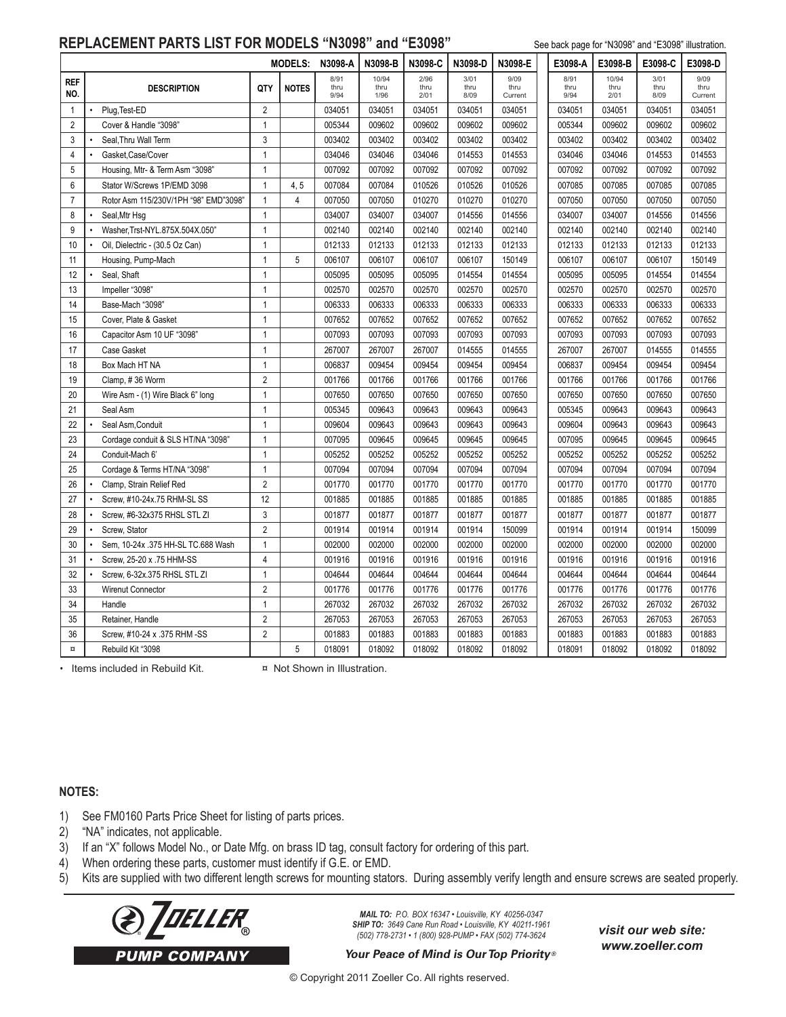## REPLACEMENT PARTS LIST FOR MODELS "N3098" and "E3098" **See back page for "N3098"** and "E3098" illustration.

|                |           |                                       |                |              | MODELS: N3098-A | N3098-B       | N3098-C      | N3098-D      | N3098-E      | E3098-A      | E3098-B       | E3098-C      | E3098-D      |
|----------------|-----------|---------------------------------------|----------------|--------------|-----------------|---------------|--------------|--------------|--------------|--------------|---------------|--------------|--------------|
| <b>REF</b>     |           |                                       | QTY            | <b>NOTES</b> | 8/91<br>thru    | 10/94<br>thru | 2/96<br>thru | 3/01<br>thru | 9/09<br>thru | 8/91<br>thru | 10/94<br>thru | 3/01<br>thru | 9/09<br>thru |
| NO.            |           | <b>DESCRIPTION</b>                    |                |              | 9/94            | 1/96          | 2/01         | 8/09         | Current      | 9/94         | 2/01          | 8/09         | Current      |
| $\mathbf{1}$   |           | Plug, Test-ED                         | $\overline{2}$ |              | 034051          | 034051        | 034051       | 034051       | 034051       | 034051       | 034051        | 034051       | 034051       |
| $\overline{2}$ |           | Cover & Handle "3098"                 | $\mathbf{1}$   |              | 005344          | 009602        | 009602       | 009602       | 009602       | 005344       | 009602        | 009602       | 009602       |
| 3              |           | Seal, Thru Wall Term                  | 3              |              | 003402          | 003402        | 003402       | 003402       | 003402       | 003402       | 003402        | 003402       | 003402       |
| 4              |           | Gasket.Case/Cover                     | $\mathbf{1}$   |              | 034046          | 034046        | 034046       | 014553       | 014553       | 034046       | 034046        | 014553       | 014553       |
| 5              |           | Housing, Mtr- & Term Asm "3098"       | $\mathbf{1}$   |              | 007092          | 007092        | 007092       | 007092       | 007092       | 007092       | 007092        | 007092       | 007092       |
| 6              |           | Stator W/Screws 1P/EMD 3098           | $\mathbf{1}$   | 4,5          | 007084          | 007084        | 010526       | 010526       | 010526       | 007085       | 007085        | 007085       | 007085       |
| $\overline{7}$ |           | Rotor Asm 115/230V/1PH "98" EMD"3098" | $\mathbf{1}$   | 4            | 007050          | 007050        | 010270       | 010270       | 010270       | 007050       | 007050        | 007050       | 007050       |
| 8              |           | Seal, Mtr Hsq                         | $\mathbf{1}$   |              | 034007          | 034007        | 034007       | 014556       | 014556       | 034007       | 034007        | 014556       | 014556       |
| 9              |           | Washer, Trst-NYL.875X.504X.050"       | $\mathbf{1}$   |              | 002140          | 002140        | 002140       | 002140       | 002140       | 002140       | 002140        | 002140       | 002140       |
| 10             | $\bullet$ | Oil, Dielectric - (30.5 Oz Can)       | 1              |              | 012133          | 012133        | 012133       | 012133       | 012133       | 012133       | 012133        | 012133       | 012133       |
| 11             |           | Housing, Pump-Mach                    | $\mathbf{1}$   | 5            | 006107          | 006107        | 006107       | 006107       | 150149       | 006107       | 006107        | 006107       | 150149       |
| 12             |           | Seal, Shaft                           | $\mathbf{1}$   |              | 005095          | 005095        | 005095       | 014554       | 014554       | 005095       | 005095        | 014554       | 014554       |
| 13             |           | Impeller "3098"                       | $\mathbf{1}$   |              | 002570          | 002570        | 002570       | 002570       | 002570       | 002570       | 002570        | 002570       | 002570       |
| 14             |           | Base-Mach "3098"                      | $\mathbf{1}$   |              | 006333          | 006333        | 006333       | 006333       | 006333       | 006333       | 006333        | 006333       | 006333       |
| 15             |           | Cover, Plate & Gasket                 | $\mathbf{1}$   |              | 007652          | 007652        | 007652       | 007652       | 007652       | 007652       | 007652        | 007652       | 007652       |
| 16             |           | Capacitor Asm 10 UF "3098"            | $\mathbf{1}$   |              | 007093          | 007093        | 007093       | 007093       | 007093       | 007093       | 007093        | 007093       | 007093       |
| 17             |           | Case Gasket                           | $\mathbf{1}$   |              | 267007          | 267007        | 267007       | 014555       | 014555       | 267007       | 267007        | 014555       | 014555       |
| 18             |           | Box Mach HT NA                        | $\mathbf{1}$   |              | 006837          | 009454        | 009454       | 009454       | 009454       | 006837       | 009454        | 009454       | 009454       |
| 19             |           | Clamp, #36 Worm                       | $\overline{2}$ |              | 001766          | 001766        | 001766       | 001766       | 001766       | 001766       | 001766        | 001766       | 001766       |
| 20             |           | Wire Asm - (1) Wire Black 6" long     | $\mathbf{1}$   |              | 007650          | 007650        | 007650       | 007650       | 007650       | 007650       | 007650        | 007650       | 007650       |
| 21             |           | Seal Asm                              | $\mathbf{1}$   |              | 005345          | 009643        | 009643       | 009643       | 009643       | 005345       | 009643        | 009643       | 009643       |
| 22             |           | Seal Asm, Conduit                     | $\mathbf{1}$   |              | 009604          | 009643        | 009643       | 009643       | 009643       | 009604       | 009643        | 009643       | 009643       |
| 23             |           | Cordage conduit & SLS HT/NA "3098"    | $\mathbf{1}$   |              | 007095          | 009645        | 009645       | 009645       | 009645       | 007095       | 009645        | 009645       | 009645       |
| 24             |           | Conduit-Mach 6'                       | $\mathbf{1}$   |              | 005252          | 005252        | 005252       | 005252       | 005252       | 005252       | 005252        | 005252       | 005252       |
| 25             |           | Cordage & Terms HT/NA "3098"          | $\mathbf{1}$   |              | 007094          | 007094        | 007094       | 007094       | 007094       | 007094       | 007094        | 007094       | 007094       |
| 26             |           | Clamp, Strain Relief Red              | $\overline{2}$ |              | 001770          | 001770        | 001770       | 001770       | 001770       | 001770       | 001770        | 001770       | 001770       |
| 27             |           | Screw, #10-24x.75 RHM-SL SS           | 12             |              | 001885          | 001885        | 001885       | 001885       | 001885       | 001885       | 001885        | 001885       | 001885       |
| 28             |           | Screw, #6-32x375 RHSL STL ZI          | 3              |              | 001877          | 001877        | 001877       | 001877       | 001877       | 001877       | 001877        | 001877       | 001877       |
| 29             | $\bullet$ | Screw, Stator                         | $\overline{2}$ |              | 001914          | 001914        | 001914       | 001914       | 150099       | 001914       | 001914        | 001914       | 150099       |
| 30             |           | Sem, 10-24x .375 HH-SL TC.688 Wash    | $\mathbf{1}$   |              | 002000          | 002000        | 002000       | 002000       | 002000       | 002000       | 002000        | 002000       | 002000       |
| 31             |           | Screw, 25-20 x .75 HHM-SS             | 4              |              | 001916          | 001916        | 001916       | 001916       | 001916       | 001916       | 001916        | 001916       | 001916       |
| 32             |           | Screw, 6-32x.375 RHSL STL ZI          | $\mathbf{1}$   |              | 004644          | 004644        | 004644       | 004644       | 004644       | 004644       | 004644        | 004644       | 004644       |
| 33             |           | <b>Wirenut Connector</b>              | $\overline{2}$ |              | 001776          | 001776        | 001776       | 001776       | 001776       | 001776       | 001776        | 001776       | 001776       |
| 34             |           | Handle                                | $\mathbf{1}$   |              | 267032          | 267032        | 267032       | 267032       | 267032       | 267032       | 267032        | 267032       | 267032       |
| 35             |           | Retainer, Handle                      | $\overline{2}$ |              | 267053          | 267053        | 267053       | 267053       | 267053       | 267053       | 267053        | 267053       | 267053       |
| 36             |           | Screw, #10-24 x .375 RHM -SS          | $\overline{2}$ |              | 001883          | 001883        | 001883       | 001883       | 001883       | 001883       | 001883        | 001883       | 001883       |
| $\alpha$       |           | Rebuild Kit "3098                     |                | 5            | 018091          | 018092        | 018092       | 018092       | 018092       | 018091       | 018092        | 018092       | 018092       |

• Items included in Rebuild Kit.  $\Box$  **x** Not Shown in Illustration.

## **NOTES:**

- 1) See FM0160 Parts Price Sheet for listing of parts prices.
- 2) "NA" indicates, not applicable.
- 3) If an "X" follows Model No., or Date Mfg. on brass ID tag, consult factory for ordering of this part.
- 4) When ordering these parts, customer must identify if G.E. or EMD.
- 5) Kits are supplied with two different length screws for mounting stators. During assembly verify length and ensure screws are seated properly.

**PUMP COMPANY** 

*MAIL TO: P.O. BOX 16347 • Louisville, KY 40256-0347 SHIP TO: 3649 Cane Run Road • Louisville, KY 40211-1961* **EXECUTE:** 1<sup>6</sup> (502) 778-2731 • 1 (800) 928-PUMP • FAX (502) 774-3624 **visit our web site:** 

**Your Peace of Mind is Our Top Priority®**

*www.zoeller.com*

© Copyright 2011 Zoeller Co. All rights reserved.